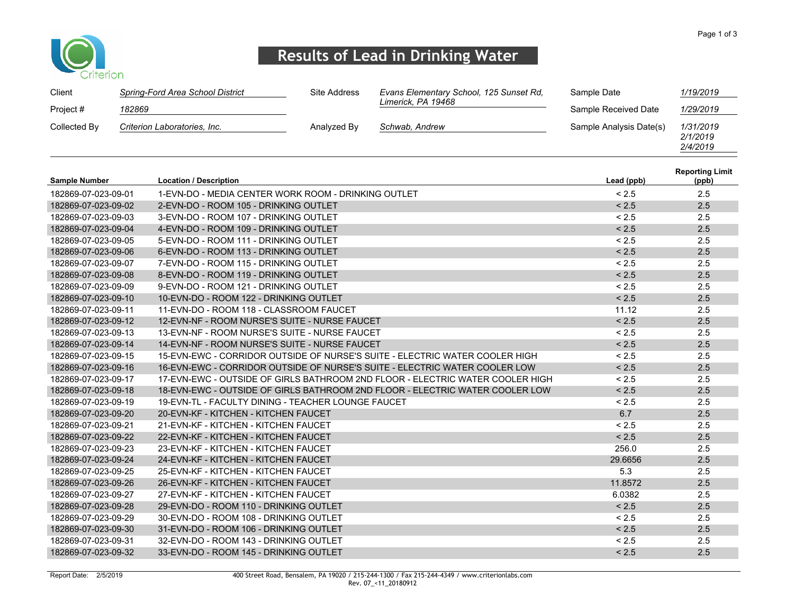

## Results of Lead in Drinking Water

| Client       | Spring-Ford Area School District | Site Address | Evans Elementary School, 125 Sunset Rd, | Sample Date             | 1/19/2019                         |
|--------------|----------------------------------|--------------|-----------------------------------------|-------------------------|-----------------------------------|
| Project #    | 182869                           |              | Limerick, PA 19468                      | Sample Received Date    | 1/29/2019                         |
| Collected By | Criterion Laboratories, Inc.     | Analyzed By  | Schwab, Andrew                          | Sample Analysis Date(s) | 1/31/2019<br>2/1/2019<br>2/4/2019 |

| <b>Sample Number</b> | <b>Location / Description</b>                                                 | Lead (ppb) | <b>Reporting Limit</b><br>(ppb) |
|----------------------|-------------------------------------------------------------------------------|------------|---------------------------------|
| 182869-07-023-09-01  | 1-EVN-DO - MEDIA CENTER WORK ROOM - DRINKING OUTLET                           | < 2.5      | 2.5                             |
| 182869-07-023-09-02  | 2-EVN-DO - ROOM 105 - DRINKING OUTLET                                         | < 2.5      | 2.5                             |
| 182869-07-023-09-03  | 3-EVN-DO - ROOM 107 - DRINKING OUTLET                                         | < 2.5      | 2.5                             |
| 182869-07-023-09-04  | 4-EVN-DO - ROOM 109 - DRINKING OUTLET                                         | < 2.5      | 2.5                             |
| 182869-07-023-09-05  | 5-EVN-DO - ROOM 111 - DRINKING OUTLET                                         | < 2.5      | 2.5                             |
| 182869-07-023-09-06  | 6-EVN-DO - ROOM 113 - DRINKING OUTLET                                         | < 2.5      | 2.5                             |
| 182869-07-023-09-07  | 7-EVN-DO - ROOM 115 - DRINKING OUTLET                                         | < 2.5      | 2.5                             |
| 182869-07-023-09-08  | 8-EVN-DO - ROOM 119 - DRINKING OUTLET                                         | < 2.5      | 2.5                             |
| 182869-07-023-09-09  | 9-EVN-DO - ROOM 121 - DRINKING OUTLET                                         | < 2.5      | 2.5                             |
| 182869-07-023-09-10  | 10-EVN-DO - ROOM 122 - DRINKING OUTLET                                        | < 2.5      | 2.5                             |
| 182869-07-023-09-11  | 11-EVN-DO - ROOM 118 - CLASSROOM FAUCET                                       | 11.12      | 2.5                             |
| 182869-07-023-09-12  | 12-EVN-NF - ROOM NURSE'S SUITE - NURSE FAUCET                                 | < 2.5      | 2.5                             |
| 182869-07-023-09-13  | 13-FVN-NF - ROOM NURSE'S SUITE - NURSE FAUCET                                 | < 2.5      | 2.5                             |
| 182869-07-023-09-14  | 14-EVN-NF - ROOM NURSE'S SUITE - NURSE FAUCET                                 | < 2.5      | 2.5                             |
| 182869-07-023-09-15  | 15-EVN-EWC - CORRIDOR OUTSIDE OF NURSE'S SUITE - ELECTRIC WATER COOLER HIGH   | < 2.5      | 2.5                             |
| 182869-07-023-09-16  | 16-EVN-EWC - CORRIDOR OUTSIDE OF NURSE'S SUITE - ELECTRIC WATER COOLER LOW    | < 2.5      | 2.5                             |
| 182869-07-023-09-17  | 17-EVN-EWC - OUTSIDE OF GIRLS BATHROOM 2ND FLOOR - ELECTRIC WATER COOLER HIGH | < 2.5      | 2.5                             |
| 182869-07-023-09-18  | 18-EVN-EWC - OUTSIDE OF GIRLS BATHROOM 2ND FLOOR - ELECTRIC WATER COOLER LOW  | < 2.5      | 2.5                             |
| 182869-07-023-09-19  | 19-EVN-TL - FACULTY DINING - TEACHER LOUNGE FAUCET                            | < 2.5      | 2.5                             |
| 182869-07-023-09-20  | 20-EVN-KF - KITCHEN - KITCHEN FAUCET                                          | 6.7        | 2.5                             |
| 182869-07-023-09-21  | 21-EVN-KF - KITCHEN - KITCHEN FAUCET                                          | < 2.5      | 2.5                             |
| 182869-07-023-09-22  | 22-EVN-KF - KITCHEN - KITCHEN FAUCET                                          | < 2.5      | 2.5                             |
| 182869-07-023-09-23  | 23-EVN-KF - KITCHEN - KITCHEN FAUCET                                          | 256.0      | 2.5                             |
| 182869-07-023-09-24  | 24-EVN-KF - KITCHEN - KITCHEN FAUCET                                          | 29.6656    | 2.5                             |
| 182869-07-023-09-25  | 25-EVN-KF - KITCHEN - KITCHEN FAUCET                                          | 5.3        | 2.5                             |
| 182869-07-023-09-26  | 26-EVN-KF - KITCHEN - KITCHEN FAUCET                                          | 11.8572    | 2.5                             |
| 182869-07-023-09-27  | 27-EVN-KF - KITCHEN - KITCHEN FAUCET                                          | 6.0382     | 2.5                             |
| 182869-07-023-09-28  | 29-EVN-DO - ROOM 110 - DRINKING OUTLET                                        | < 2.5      | 2.5                             |
| 182869-07-023-09-29  | 30-EVN-DO - ROOM 108 - DRINKING OUTLET                                        | < 2.5      | 2.5                             |
| 182869-07-023-09-30  | 31-EVN-DO - ROOM 106 - DRINKING OUTLET                                        | < 2.5      | 2.5                             |
| 182869-07-023-09-31  | 32-EVN-DO - ROOM 143 - DRINKING OUTLET                                        | < 2.5      | 2.5                             |
| 182869-07-023-09-32  | 33-EVN-DO - ROOM 145 - DRINKING OUTLET                                        | < 2.5      | 2.5                             |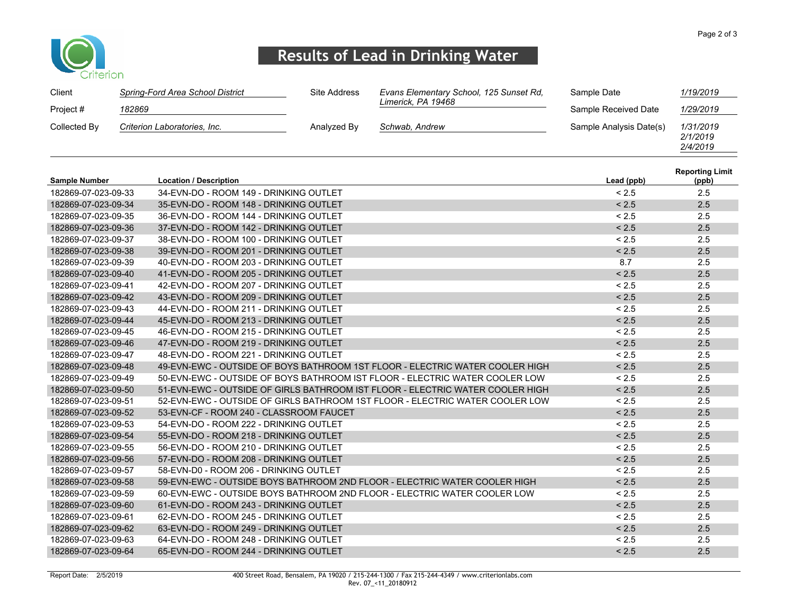

## Results of Lead in Drinking Water

| Client       | Spring-Ford Area School District | Site Address | Evans Elementary School, 125 Sunset Rd. | Sample Date             | 1/19/2019                         |
|--------------|----------------------------------|--------------|-----------------------------------------|-------------------------|-----------------------------------|
| Project #    | 182869                           |              | Limerick, PA 19468                      | Sample Received Date    | 1/29/2019                         |
| Collected By | Criterion Laboratories, Inc.     | Analyzed By  | Schwab, Andrew                          | Sample Analysis Date(s) | 1/31/2019<br>2/1/2019<br>2/4/2019 |

| <b>Sample Number</b> | <b>Location / Description</b>                                                 | Lead (ppb) | <b>Reporting Limit</b><br>(ppb) |
|----------------------|-------------------------------------------------------------------------------|------------|---------------------------------|
| 182869-07-023-09-33  | 34-EVN-DO - ROOM 149 - DRINKING OUTLET                                        | < 2.5      | 2.5                             |
| 182869-07-023-09-34  | 35-EVN-DO - ROOM 148 - DRINKING OUTLET                                        | < 2.5      | 2.5                             |
| 182869-07-023-09-35  | 36-EVN-DO - ROOM 144 - DRINKING OUTLET                                        | < 2.5      | 2.5                             |
| 182869-07-023-09-36  | 37-EVN-DO - ROOM 142 - DRINKING OUTLET                                        | < 2.5      | 2.5                             |
| 182869-07-023-09-37  | 38-EVN-DO - ROOM 100 - DRINKING OUTLET                                        | < 2.5      | 2.5                             |
| 182869-07-023-09-38  | 39-EVN-DO - ROOM 201 - DRINKING OUTLET                                        | < 2.5      | 2.5                             |
| 182869-07-023-09-39  | 40-EVN-DO - ROOM 203 - DRINKING OUTLET                                        | 8.7        | 2.5                             |
| 182869-07-023-09-40  | 41-EVN-DO - ROOM 205 - DRINKING OUTLET                                        | < 2.5      | 2.5                             |
| 182869-07-023-09-41  | 42-EVN-DO - ROOM 207 - DRINKING OUTLET                                        | < 2.5      | 2.5                             |
| 182869-07-023-09-42  | 43-EVN-DO - ROOM 209 - DRINKING OUTLET                                        | < 2.5      | 2.5                             |
| 182869-07-023-09-43  | 44-EVN-DO - ROOM 211 - DRINKING OUTLET                                        | < 2.5      | 2.5                             |
| 182869-07-023-09-44  | 45-EVN-DO - ROOM 213 - DRINKING OUTLET                                        | < 2.5      | 2.5                             |
| 182869-07-023-09-45  | 46-EVN-DO - ROOM 215 - DRINKING OUTLET                                        | < 2.5      | 2.5                             |
| 182869-07-023-09-46  | 47-EVN-DO - ROOM 219 - DRINKING OUTLET                                        | < 2.5      | 2.5                             |
| 182869-07-023-09-47  | 48-EVN-DO - ROOM 221 - DRINKING OUTLET                                        | < 2.5      | 2.5                             |
| 182869-07-023-09-48  | 49-EVN-EWC - OUTSIDE OF BOYS BATHROOM 1ST FLOOR - ELECTRIC WATER COOLER HIGH  | < 2.5      | 2.5                             |
| 182869-07-023-09-49  | 50-EVN-EWC - OUTSIDE OF BOYS BATHROOM IST FLOOR - ELECTRIC WATER COOLER LOW   | < 2.5      | 2.5                             |
| 182869-07-023-09-50  | 51-EVN-EWC - OUTSIDE OF GIRLS BATHROOM IST FLOOR - ELECTRIC WATER COOLER HIGH | < 2.5      | 2.5                             |
| 182869-07-023-09-51  | 52-EVN-EWC - OUTSIDE OF GIRLS BATHROOM 1ST FLOOR - ELECTRIC WATER COOLER LOW  | < 2.5      | 2.5                             |
| 182869-07-023-09-52  | 53-EVN-CF - ROOM 240 - CLASSROOM FAUCET                                       | < 2.5      | 2.5                             |
| 182869-07-023-09-53  | 54-EVN-DO - ROOM 222 - DRINKING OUTLET                                        | < 2.5      | 2.5                             |
| 182869-07-023-09-54  | 55-EVN-DO - ROOM 218 - DRINKING OUTLET                                        | < 2.5      | 2.5                             |
| 182869-07-023-09-55  | 56-EVN-DO - ROOM 210 - DRINKING OUTLET                                        | < 2.5      | 2.5                             |
| 182869-07-023-09-56  | 57-EVN-DO - ROOM 208 - DRINKING OUTLET                                        | < 2.5      | 2.5                             |
| 182869-07-023-09-57  | 58-EVN-D0 - ROOM 206 - DRINKING OUTLET                                        | < 2.5      | 2.5                             |
| 182869-07-023-09-58  | 59-EVN-EWC - OUTSIDE BOYS BATHROOM 2ND FLOOR - ELECTRIC WATER COOLER HIGH     | < 2.5      | 2.5                             |
| 182869-07-023-09-59  | 60-EVN-EWC - OUTSIDE BOYS BATHROOM 2ND FLOOR - ELECTRIC WATER COOLER LOW      | < 2.5      | 2.5                             |
| 182869-07-023-09-60  | 61-EVN-DO - ROOM 243 - DRINKING OUTLET                                        | < 2.5      | 2.5                             |
| 182869-07-023-09-61  | 62-EVN-DO - ROOM 245 - DRINKING OUTLET                                        | < 2.5      | 2.5                             |
| 182869-07-023-09-62  | 63-EVN-DO - ROOM 249 - DRINKING OUTLET                                        | < 2.5      | 2.5                             |
| 182869-07-023-09-63  | 64-EVN-DO - ROOM 248 - DRINKING OUTLET                                        | < 2.5      | 2.5                             |
| 182869-07-023-09-64  | 65-EVN-DO - ROOM 244 - DRINKING OUTLET                                        | < 2.5      | 2.5                             |